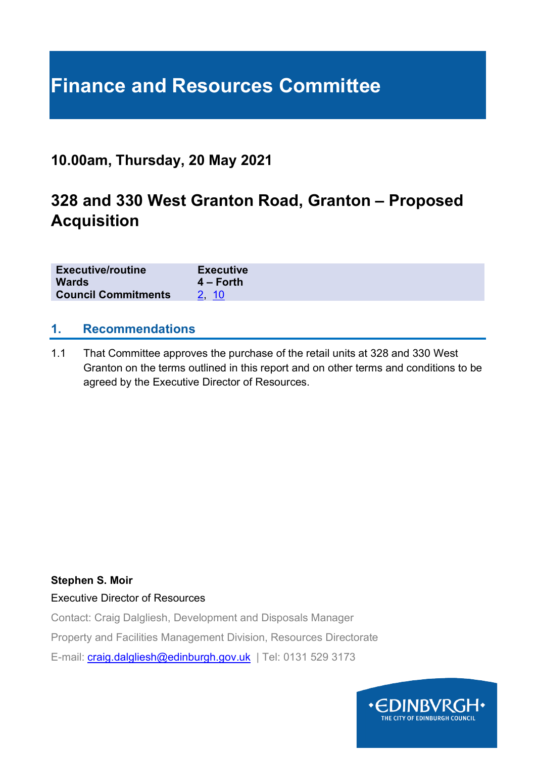# **Finance and Resources Committee**

### **10.00am, Thursday, 20 May 2021**

## **328 and 330 West Granton Road, Granton – Proposed Acquisition**

| <b>Executive/routine</b>   | <b>Executive</b> |
|----------------------------|------------------|
| <b>Wards</b>               | $4 -$ Forth      |
| <b>Council Commitments</b> | 2, 10            |

#### **1. Recommendations**

1.1 That Committee approves the purchase of the retail units at 328 and 330 West Granton on the terms outlined in this report and on other terms and conditions to be agreed by the Executive Director of Resources.

#### **Stephen S. Moir**

Executive Director of Resources

Contact: Craig Dalgliesh, Development and Disposals Manager

Property and Facilities Management Division, Resources Directorate

E-mail: [craig.dalgliesh@edinburgh.gov.uk](mailto:craig.dalgliesh@edinburgh.gov.uk) | Tel: 0131 529 3173

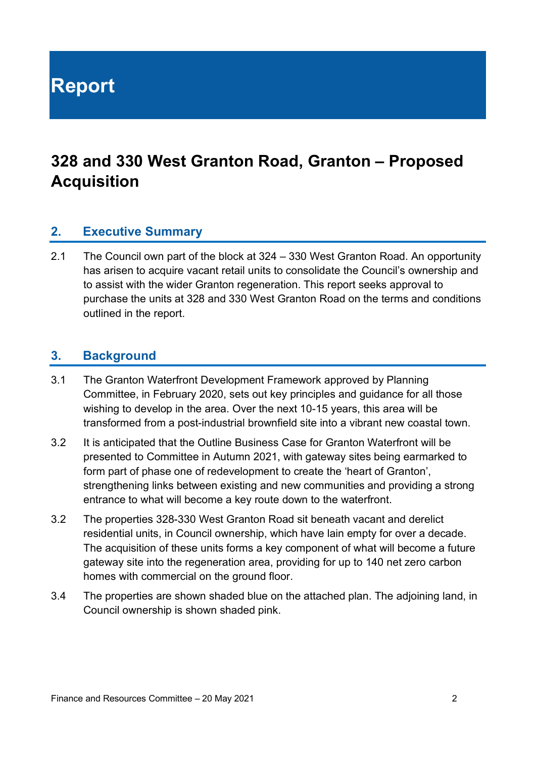**Report**

# **328 and 330 West Granton Road, Granton – Proposed Acquisition**

#### **2. Executive Summary**

2.1 The Council own part of the block at 324 – 330 West Granton Road. An opportunity has arisen to acquire vacant retail units to consolidate the Council's ownership and to assist with the wider Granton regeneration. This report seeks approval to purchase the units at 328 and 330 West Granton Road on the terms and conditions outlined in the report.

#### **3. Background**

- 3.1 The Granton Waterfront Development Framework approved by Planning Committee, in February 2020, sets out key principles and guidance for all those wishing to develop in the area. Over the next 10-15 years, this area will be transformed from a post-industrial brownfield site into a vibrant new coastal town.
- 3.2 It is anticipated that the Outline Business Case for Granton Waterfront will be presented to Committee in Autumn 2021, with gateway sites being earmarked to form part of phase one of redevelopment to create the 'heart of Granton', strengthening links between existing and new communities and providing a strong entrance to what will become a key route down to the waterfront.
- 3.2 The properties 328-330 West Granton Road sit beneath vacant and derelict residential units, in Council ownership, which have lain empty for over a decade. The acquisition of these units forms a key component of what will become a future gateway site into the regeneration area, providing for up to 140 net zero carbon homes with commercial on the ground floor.
- 3.4 The properties are shown shaded blue on the attached plan. The adjoining land, in Council ownership is shown shaded pink.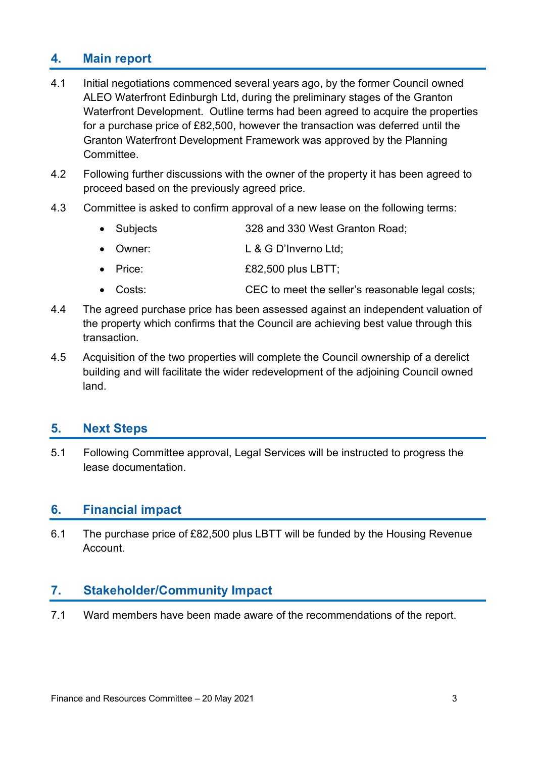#### **4. Main report**

- 4.1 Initial negotiations commenced several years ago, by the former Council owned ALEO Waterfront Edinburgh Ltd, during the preliminary stages of the Granton Waterfront Development. Outline terms had been agreed to acquire the properties for a purchase price of £82,500, however the transaction was deferred until the Granton Waterfront Development Framework was approved by the Planning Committee.
- 4.2 Following further discussions with the owner of the property it has been agreed to proceed based on the previously agreed price.
- 4.3 Committee is asked to confirm approval of a new lease on the following terms:
	- Subjects 328 and 330 West Granton Road;
	- Owner: L&G D'Inverno Ltd;
	- Price: £82,500 plus LBTT;
	- Costs: CEC to meet the seller's reasonable legal costs;
- 4.4 The agreed purchase price has been assessed against an independent valuation of the property which confirms that the Council are achieving best value through this transaction.
- 4.5 Acquisition of the two properties will complete the Council ownership of a derelict building and will facilitate the wider redevelopment of the adjoining Council owned land.

#### **5. Next Steps**

5.1 Following Committee approval, Legal Services will be instructed to progress the lease documentation.

#### **6. Financial impact**

6.1 The purchase price of £82,500 plus LBTT will be funded by the Housing Revenue Account.

#### **7. Stakeholder/Community Impact**

7.1 Ward members have been made aware of the recommendations of the report.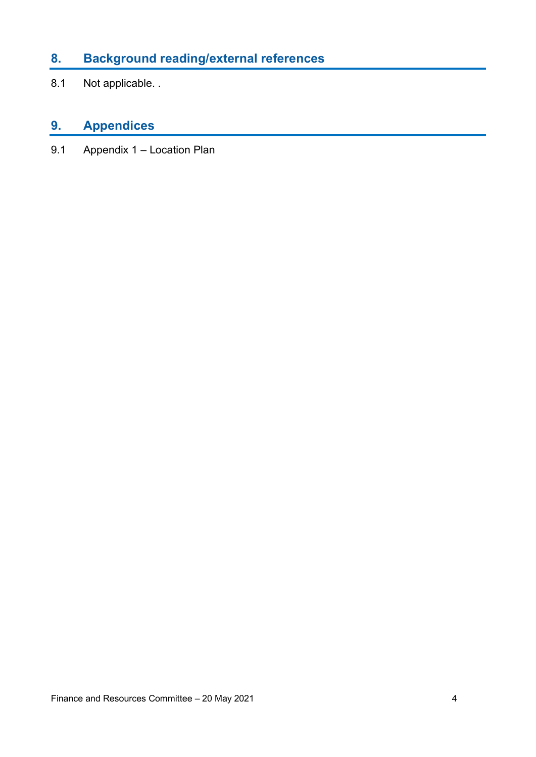### **8. Background reading/external references**

8.1 Not applicable. .

### **9. Appendices**

9.1 Appendix 1 – Location Plan